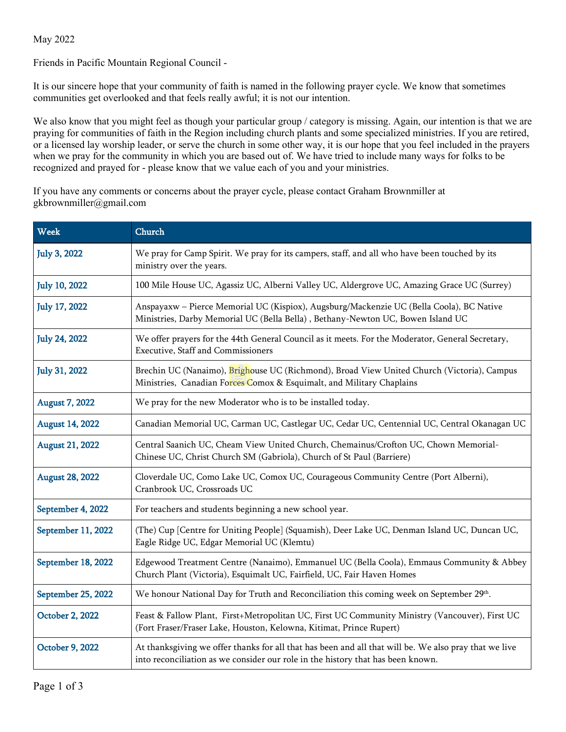May 2022

Friends in Pacific Mountain Regional Council -

It is our sincere hope that your community of faith is named in the following prayer cycle. We know that sometimes communities get overlooked and that feels really awful; it is not our intention.

We also know that you might feel as though your particular group / category is missing. Again, our intention is that we are praying for communities of faith in the Region including church plants and some specialized ministries. If you are retired, or a licensed lay worship leader, or serve the church in some other way, it is our hope that you feel included in the prayers when we pray for the community in which you are based out of. We have tried to include many ways for folks to be recognized and prayed for - please know that we value each of you and your ministries.

If you have any comments or concerns about the prayer cycle, please contact Graham Brownmiller at gkbrownmiller@gmail.com

| <b>Week</b>            | Church                                                                                                                                                                                   |
|------------------------|------------------------------------------------------------------------------------------------------------------------------------------------------------------------------------------|
| <b>July 3, 2022</b>    | We pray for Camp Spirit. We pray for its campers, staff, and all who have been touched by its<br>ministry over the years.                                                                |
| <b>July 10, 2022</b>   | 100 Mile House UC, Agassiz UC, Alberni Valley UC, Aldergrove UC, Amazing Grace UC (Surrey)                                                                                               |
| <b>July 17, 2022</b>   | Anspayaxw - Pierce Memorial UC (Kispiox), Augsburg/Mackenzie UC (Bella Coola), BC Native<br>Ministries, Darby Memorial UC (Bella Bella), Bethany-Newton UC, Bowen Island UC              |
| <b>July 24, 2022</b>   | We offer prayers for the 44th General Council as it meets. For the Moderator, General Secretary,<br>Executive, Staff and Commissioners                                                   |
| <b>July 31, 2022</b>   | Brechin UC (Nanaimo), Brighouse UC (Richmond), Broad View United Church (Victoria), Campus<br>Ministries, Canadian Forces Comox & Esquimalt, and Military Chaplains                      |
| <b>August 7, 2022</b>  | We pray for the new Moderator who is to be installed today.                                                                                                                              |
| <b>August 14, 2022</b> | Canadian Memorial UC, Carman UC, Castlegar UC, Cedar UC, Centennial UC, Central Okanagan UC                                                                                              |
| <b>August 21, 2022</b> | Central Saanich UC, Cheam View United Church, Chemainus/Crofton UC, Chown Memorial-<br>Chinese UC, Christ Church SM (Gabriola), Church of St Paul (Barriere)                             |
| <b>August 28, 2022</b> | Cloverdale UC, Como Lake UC, Comox UC, Courageous Community Centre (Port Alberni),<br>Cranbrook UC, Crossroads UC                                                                        |
| September 4, 2022      | For teachers and students beginning a new school year.                                                                                                                                   |
| September 11, 2022     | (The) Cup [Centre for Uniting People] (Squamish), Deer Lake UC, Denman Island UC, Duncan UC,<br>Eagle Ridge UC, Edgar Memorial UC (Klemtu)                                               |
| September 18, 2022     | Edgewood Treatment Centre (Nanaimo), Emmanuel UC (Bella Coola), Emmaus Community & Abbey<br>Church Plant (Victoria), Esquimalt UC, Fairfield, UC, Fair Haven Homes                       |
| September 25, 2022     | We honour National Day for Truth and Reconciliation this coming week on September 29 <sup>th</sup> .                                                                                     |
| October 2, 2022        | Feast & Fallow Plant, First+Metropolitan UC, First UC Community Ministry (Vancouver), First UC<br>(Fort Fraser/Fraser Lake, Houston, Kelowna, Kitimat, Prince Rupert)                    |
| October 9, 2022        | At thanksgiving we offer thanks for all that has been and all that will be. We also pray that we live<br>into reconciliation as we consider our role in the history that has been known. |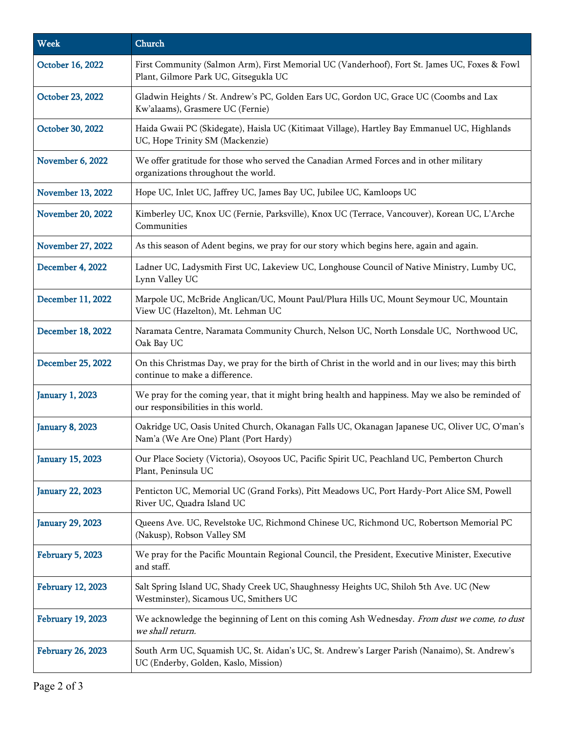| <b>Week</b>              | Church                                                                                                                                   |
|--------------------------|------------------------------------------------------------------------------------------------------------------------------------------|
| October 16, 2022         | First Community (Salmon Arm), First Memorial UC (Vanderhoof), Fort St. James UC, Foxes & Fowl<br>Plant, Gilmore Park UC, Gitsegukla UC   |
| October 23, 2022         | Gladwin Heights / St. Andrew's PC, Golden Ears UC, Gordon UC, Grace UC (Coombs and Lax<br>Kw'alaams), Grasmere UC (Fernie)               |
| October 30, 2022         | Haida Gwaii PC (Skidegate), Haisla UC (Kitimaat Village), Hartley Bay Emmanuel UC, Highlands<br>UC, Hope Trinity SM (Mackenzie)          |
| <b>November 6, 2022</b>  | We offer gratitude for those who served the Canadian Armed Forces and in other military<br>organizations throughout the world.           |
| November 13, 2022        | Hope UC, Inlet UC, Jaffrey UC, James Bay UC, Jubilee UC, Kamloops UC                                                                     |
| November 20, 2022        | Kimberley UC, Knox UC (Fernie, Parksville), Knox UC (Terrace, Vancouver), Korean UC, L'Arche<br>Communities                              |
| <b>November 27, 2022</b> | As this season of Adent begins, we pray for our story which begins here, again and again.                                                |
| <b>December 4, 2022</b>  | Ladner UC, Ladysmith First UC, Lakeview UC, Longhouse Council of Native Ministry, Lumby UC,<br>Lynn Valley UC                            |
| December 11, 2022        | Marpole UC, McBride Anglican/UC, Mount Paul/Plura Hills UC, Mount Seymour UC, Mountain<br>View UC (Hazelton), Mt. Lehman UC              |
| December 18, 2022        | Naramata Centre, Naramata Community Church, Nelson UC, North Lonsdale UC, Northwood UC,<br>Oak Bay UC                                    |
| December 25, 2022        | On this Christmas Day, we pray for the birth of Christ in the world and in our lives; may this birth<br>continue to make a difference.   |
| <b>January 1, 2023</b>   | We pray for the coming year, that it might bring health and happiness. May we also be reminded of<br>our responsibilities in this world. |
| <b>January 8, 2023</b>   | Oakridge UC, Oasis United Church, Okanagan Falls UC, Okanagan Japanese UC, Oliver UC, O'man's<br>Nam'a (We Are One) Plant (Port Hardy)   |
| <b>January 15, 2023</b>  | Our Place Society (Victoria), Osoyoos UC, Pacific Spirit UC, Peachland UC, Pemberton Church<br>Plant, Peninsula UC                       |
| <b>January 22, 2023</b>  | Penticton UC, Memorial UC (Grand Forks), Pitt Meadows UC, Port Hardy-Port Alice SM, Powell<br>River UC, Quadra Island UC                 |
| <b>January 29, 2023</b>  | Queens Ave. UC, Revelstoke UC, Richmond Chinese UC, Richmond UC, Robertson Memorial PC<br>(Nakusp), Robson Valley SM                     |
| February 5, 2023         | We pray for the Pacific Mountain Regional Council, the President, Executive Minister, Executive<br>and staff.                            |
| February 12, 2023        | Salt Spring Island UC, Shady Creek UC, Shaughnessy Heights UC, Shiloh 5th Ave. UC (New<br>Westminster), Sicamous UC, Smithers UC         |
| <b>February 19, 2023</b> | We acknowledge the beginning of Lent on this coming Ash Wednesday. From dust we come, to dust<br>we shall return.                        |
| <b>February 26, 2023</b> | South Arm UC, Squamish UC, St. Aidan's UC, St. Andrew's Larger Parish (Nanaimo), St. Andrew's<br>UC (Enderby, Golden, Kaslo, Mission)    |